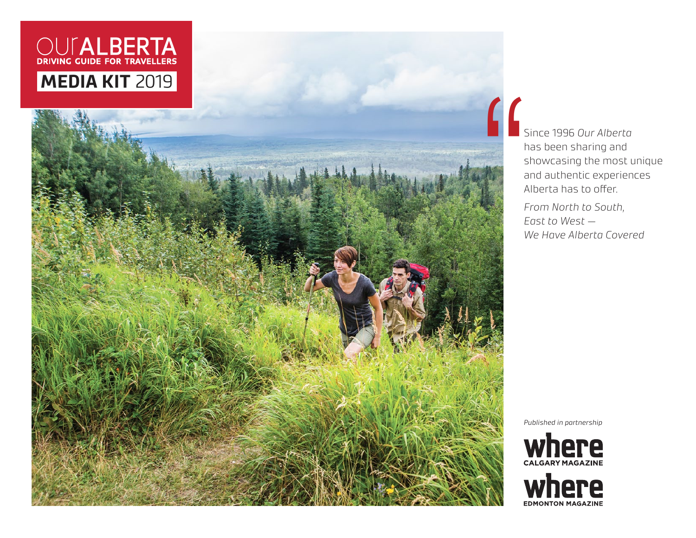# OUTALBERTA **MEDIA KIT** 2019

Since 1996 *Our Alberta*  has been sharing and showcasing the most unique and authentic experiences Alberta has to offer.

*From North to South, East to West — We Have Alberta Covered*

*Published in partnership*



**THE SHORT CONSUMERS AND FIND EXAMPLE ON A LINE CONSUMERS WE**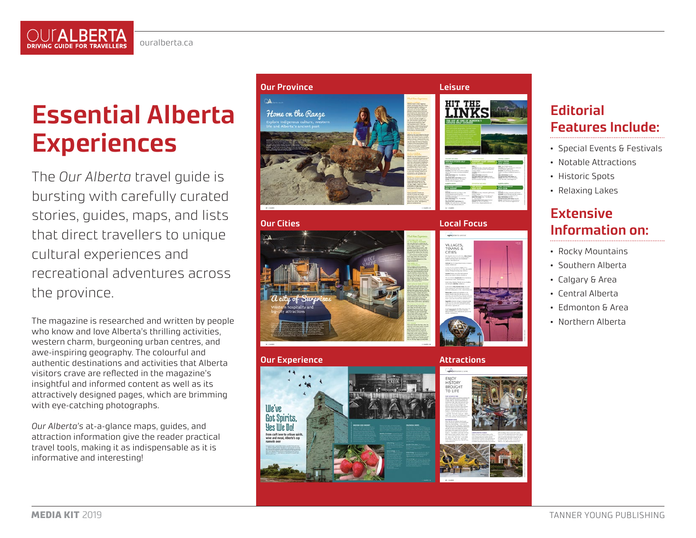

# **Essential Alberta Experiences**

The *Our Alberta* travel guide is bursting with carefully curated stories, guides, maps, and lists that direct travellers to unique cultural experiences and recreational adventures across the province.

The magazine is researched and written by people who know and love Alberta's thrilling activities, western charm, burgeoning urban centres, and awe-inspiring geography. The colourful and authentic destinations and activities that Alberta visitors crave are reflected in the magazine's insightful and informed content as well as its attractively designed pages, which are brimming with eye-catching photographs.

*Our Alberta's* at-a-glance maps, guides, and attraction information give the reader practical travel tools, making it as indispensable as it is informative and interesting!



**Our Cities**

**Our Experience**

Ille've **Got Spirits** Yes We Do!



**Local Focus**



### **Attractions**



## **Editorial Features Include:**

- Special Events & Festivals
- Notable Attractions
- Historic Spots
- Relaxing Lakes

## **Extensive Information on:**

- Rocky Mountains
- Southern Alberta
- Calgary & Area
- Central Alberta
- Edmonton & Area
- Northern Alberta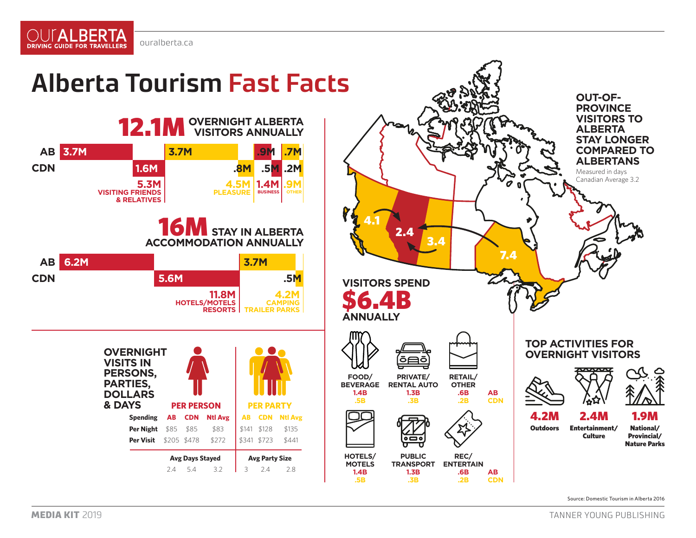

OUT**ALBERTA** DRIVING GUIDE FOR TRAVELLERS

## **Alberta Tourism Fast Facts**

**AB 6.2M 3.7M 5.6M 11.8M HOTELS/MOTELS RESORTS 16M** STAY IN ALBERTA **ACCOMMODATION ANNUALLY CDN .5M 4.2M CAMPING TRAILER AB 3.7M 3.7M .9M .7M 1.6M 5.3M VISITING FRIENDS & RELATIVES 1.4M BUSINESS .9M**<br><sup>OTHER</sup> **CDN .8M .5M .2M 4.5M PLEASURE 12.1M OVERNIGHT ALBERTA OVERNIGHT VISITS IN PERSONS, PARTIES, DOLLARS**<br>**& DAYS & DAYS PER PERSON PER PARTY Spending AB CDN Ntl Avg AB CDN Ntl Avg Per Night** \$85 \$85 \$83 \$141 \$128 \$135 **Per Visit** \$205 \$478 \$272 \$341 \$723 \$441 **Avg Days Stayed Avg Party Size** 2.4 5.4 3.2 3 2.4 2.8



Source: Domestic Tourism in Alberta 2016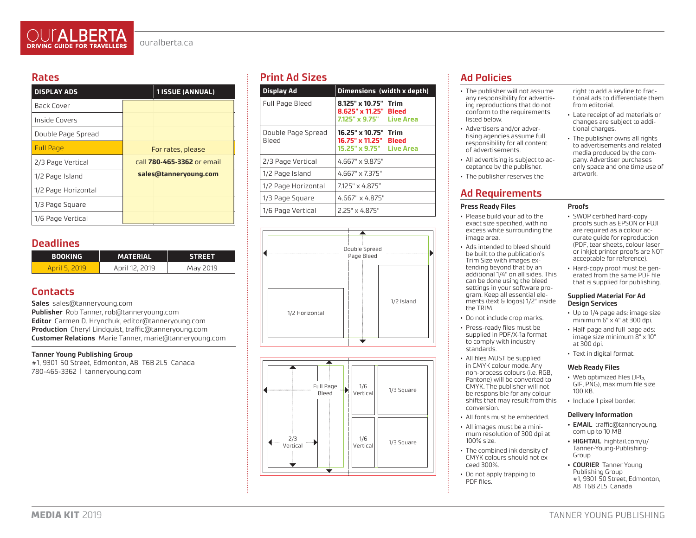### **Rates**

| <b>DISPLAY ADS</b>  | <b>1ISSUE (ANNUAL)</b>     |  |
|---------------------|----------------------------|--|
| Back Cover          |                            |  |
| Inside Covers       |                            |  |
| Double Page Spread  |                            |  |
| <b>Full Page</b>    | For rates, please          |  |
| 2/3 Page Vertical   | call 780-465-3362 or email |  |
| 1/2 Page Island     | sales@tanneryoung.com      |  |
| 1/2 Page Horizontal |                            |  |
| 1/3 Page Square     |                            |  |
| 1/6 Page Vertical   |                            |  |

### **Deadlines**

| <b>BOOKING</b> | <b>MATERIAL</b> | <b>STREET</b> |
|----------------|-----------------|---------------|
| April 5 2019   | April 12, 2019  | May 2019      |

### **Contacts**

**Sales** sales@tanneryoung.com

**Publisher** Rob Tanner, rob@tanneryoung.com **Editor** Carmen D. Hrynchuk, editor@tanneryoung.com **Production** Cheryl Lindquist, traffic@tanneryoung.com **Customer Relations** Marie Tanner, marie@tanneryoung.com

#### **Tanner Young Publishing Group**

#1, 9301 50 Street, Edmonton, AB T6B 2L5 Canada 780-465-3362 | tanneryoung.com

## **Print Ad Sizes**

| <b>Display Ad</b>           | Dimensions (width x depth)                                                             |  |
|-----------------------------|----------------------------------------------------------------------------------------|--|
| Full Page Bleed             | 8.125" x 10.75" Trim<br>8.625" x 11.25" Bleed<br>7.125" x 9.75" Live Area              |  |
| Double Page Spread<br>Bleed | 16.25" x 10.75" Trim<br>16.75" x 11.25"<br><b>Bleed</b><br>15.25" x 9.75"    Live Area |  |
| 2/3 Page Vertical           | $4.667" \times 9.875"$                                                                 |  |
| 1/2 Page Island             | 4.667" x 7.375"                                                                        |  |
| 1/2 Page Horizontal         | 7125" x 4 875"                                                                         |  |
| 1/3 Page Square             | $4.667" \times 4.875"$                                                                 |  |
| 1/6 Page Vertical           | 2 25" x 4 875"                                                                         |  |





## **Ad Policies**

- The publisher will not assume any responsibility for advertising reproductions that do not conform to the requirements listed below.
- Advertisers and/or advertising agencies assume full responsibility for all content of advertisements.
- All advertising is subject to acceptance by the publisher.
- The publisher reserves the

## **Ad Requirements**

#### **Press Ready Files**

- Please build your ad to the exact size specified, with no excess white surrounding the image area.
- Ads intended to bleed should be built to the publication's Trim Size with images extending beyond that by an additional 1/4" on all sides. This can be done using the bleed settings in your software program. Keep all essential elements (text & logos) 1/2" inside the TRIM.
- Do not include crop marks.
- Press-ready files must be supplied in PDF/X-1a format to comply with industry standards.
- All files MUST be supplied in CMYK colour mode. Any non-process colours (i.e. RGB, Pantone) will be converted to CMYK. The publisher will not be responsible for any colour shifts that may result from this conversion.
- All fonts must be embedded.
- All images must be a minimum resolution of 300 dpi at 100% size.
- The combined ink density of CMYK colours should not exceed 300%.
- Do not apply trapping to PDF files.

right to add a keyline to fractional ads to differentiate them from editorial.

- Late receipt of ad materials or changes are subject to additional charges.
- The publisher owns all rights to advertisements and related media produced by the company. Advertiser purchases only space and one time use of artwork.
- **Proofs**
- SWOP certified hard-copy proofs such as EPSON or FUJI are required as a colour accurate guide for reproduction (PDF, tear sheets, colour laser or inkjet printer proofs are NOT acceptable for reference).
- Hard-copy proof must be generated from the same PDF file that is supplied for publishing.

#### **Supplied Material For Ad Design Services**

- Up to 1/4 page ads: image size minimum 6" x 4" at 300 dpi.
- Half-page and full-page ads: image size minimum 8" x 10" at 300 dpi.
- Text in digital format.

#### **Web Ready Files**

- Web optimized files (JPG, GIF, PNG), maximum file size 100 KB.
- Include 1 pixel border.

#### **Delivery Information**

- **• EMAIL** traffic@tanneryoung. com up to 10 MB
- **• HIGHTAIL** hightail.com/u/ Tanner-Young-Publishing-Group
- **• COURIER** Tanner Young Publishing Group #1, 9301 50 Street, Edmonton, AB T6B 2L5 Canada